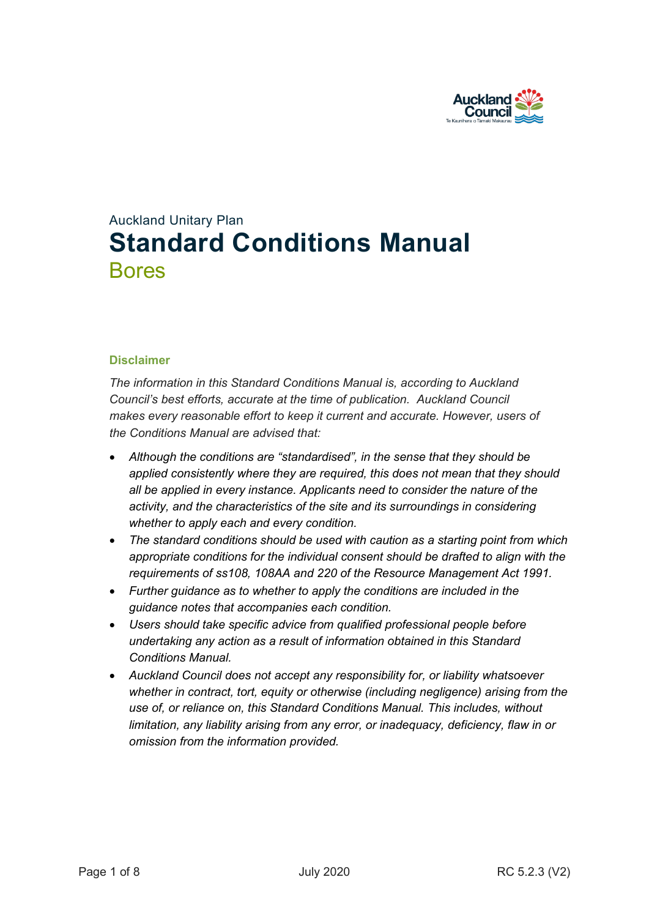

# Auckland Unitary Plan **Standard Conditions Manual** Bores

#### **Disclaimer**

*The information in this Standard Conditions Manual is, according to Auckland Council's best efforts, accurate at the time of publication. Auckland Council makes every reasonable effort to keep it current and accurate. However, users of the Conditions Manual are advised that:* 

- *Although the conditions are "standardised", in the sense that they should be applied consistently where they are required, this does not mean that they should all be applied in every instance. Applicants need to consider the nature of the activity, and the characteristics of the site and its surroundings in considering whether to apply each and every condition.*
- *The standard conditions should be used with caution as a starting point from which appropriate conditions for the individual consent should be drafted to align with the requirements of ss108, 108AA and 220 of the Resource Management Act 1991.*
- *Further guidance as to whether to apply the conditions are included in the guidance notes that accompanies each condition.*
- *Users should take specific advice from qualified professional people before undertaking any action as a result of information obtained in this Standard Conditions Manual.*
- *Auckland Council does not accept any responsibility for, or liability whatsoever whether in contract, tort, equity or otherwise (including negligence) arising from the use of, or reliance on, this Standard Conditions Manual. This includes, without limitation, any liability arising from any error, or inadequacy, deficiency, flaw in or omission from the information provided.*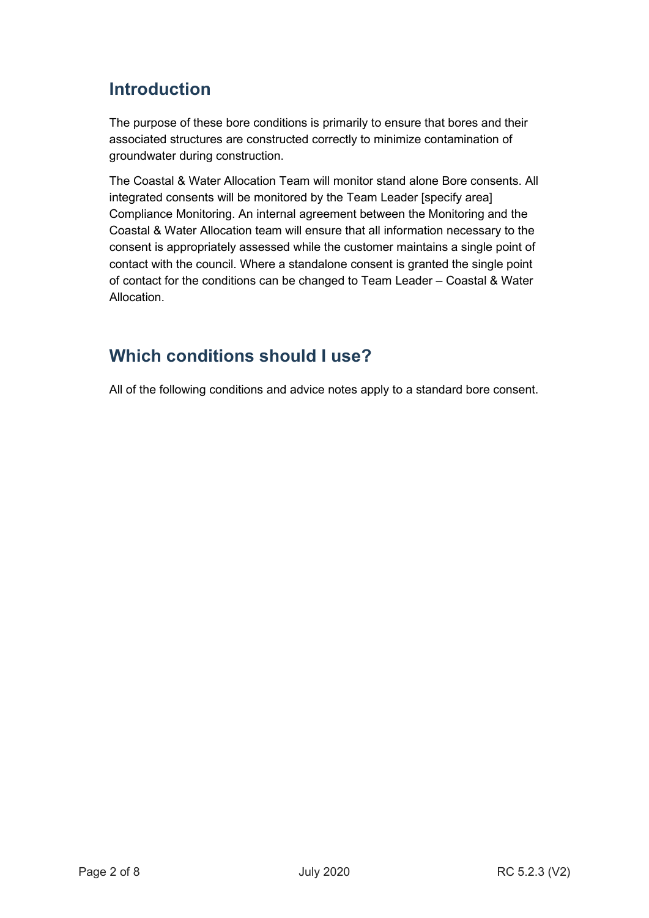# **Introduction**

The purpose of these bore conditions is primarily to ensure that bores and their associated structures are constructed correctly to minimize contamination of groundwater during construction.

The Coastal & Water Allocation Team will monitor stand alone Bore consents. All integrated consents will be monitored by the Team Leader [specify area] Compliance Monitoring. An internal agreement between the Monitoring and the Coastal & Water Allocation team will ensure that all information necessary to the consent is appropriately assessed while the customer maintains a single point of contact with the council. Where a standalone consent is granted the single point of contact for the conditions can be changed to Team Leader – Coastal & Water Allocation.

## **Which conditions should I use?**

All of the following conditions and advice notes apply to a standard bore consent.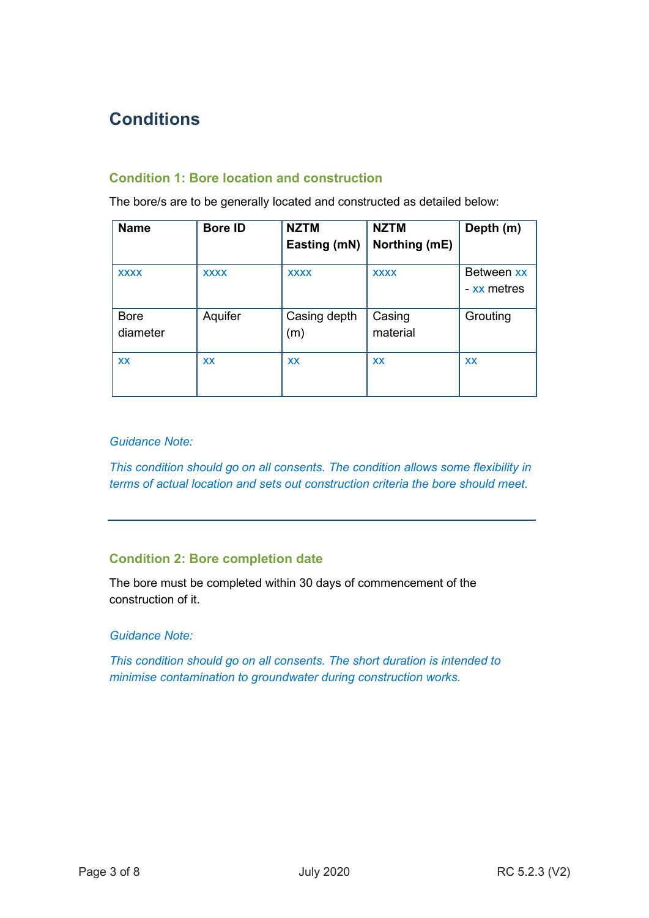# **Conditions**

## **Condition 1: Bore location and construction**

The bore/s are to be generally located and constructed as detailed below:

| <b>Name</b>             | <b>Bore ID</b> | <b>NZTM</b><br>Easting (mN) | <b>NZTM</b><br>Northing (mE) | Depth (m)                 |
|-------------------------|----------------|-----------------------------|------------------------------|---------------------------|
| <b>XXXX</b>             | <b>XXXX</b>    | <b>XXXX</b>                 | <b>XXXX</b>                  | Between xx<br>- xx metres |
| <b>Bore</b><br>diameter | Aquifer        | Casing depth<br>(m)         | Casing<br>material           | Grouting                  |
| <b>XX</b>               | <b>XX</b>      | <b>XX</b>                   | <b>XX</b>                    | <b>XX</b>                 |

#### *Guidance Note:*

*This condition should go on all consents. The condition allows some flexibility in terms of actual location and sets out construction criteria the bore should meet.* 

## **Condition 2: Bore completion date**

The bore must be completed within 30 days of commencement of the construction of it.

#### *Guidance Note:*

*This condition should go on all consents. The short duration is intended to minimise contamination to groundwater during construction works.*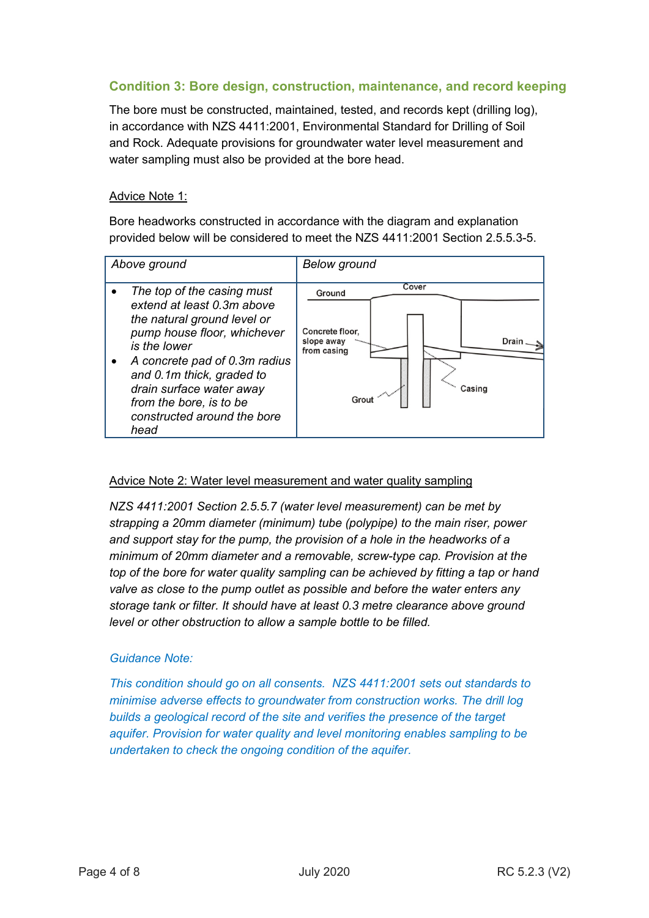## **Condition 3: Bore design, construction, maintenance, and record keeping**

The bore must be constructed, maintained, tested, and records kept (drilling log), in accordance with NZS 4411:2001, Environmental Standard for Drilling of Soil and Rock. Adequate provisions for groundwater water level measurement and water sampling must also be provided at the bore head.

#### Advice Note 1:

Bore headworks constructed in accordance with the diagram and explanation provided below will be considered to meet the NZS 4411:2001 Section 2.5.5.3-5.

| Above ground |                                                                                                                                                                                                                                                                                                    | <b>Below</b> ground                                                                                                                      |
|--------------|----------------------------------------------------------------------------------------------------------------------------------------------------------------------------------------------------------------------------------------------------------------------------------------------------|------------------------------------------------------------------------------------------------------------------------------------------|
|              | The top of the casing must<br>extend at least 0.3m above<br>the natural ground level or<br>pump house floor, whichever<br>is the lower<br>A concrete pad of 0.3m radius<br>and 0.1m thick, graded to<br>drain surface water away<br>from the bore, is to be<br>constructed around the bore<br>head | Cover<br>Ground<br>Concrete floor,<br>Drain<br>slope away<br>from casing<br>$\mathcal{L}_{\mathcal{M}_{\mathcal{M}}}$<br>Casing<br>Grout |

#### Advice Note 2: Water level measurement and water quality sampling

*NZS 4411:2001 Section 2.5.5.7 (water level measurement) can be met by strapping a 20mm diameter (minimum) tube (polypipe) to the main riser, power and support stay for the pump, the provision of a hole in the headworks of a minimum of 20mm diameter and a removable, screw-type cap. Provision at the top of the bore for water quality sampling can be achieved by fitting a tap or hand valve as close to the pump outlet as possible and before the water enters any storage tank or filter. It should have at least 0.3 metre clearance above ground level or other obstruction to allow a sample bottle to be filled.*

#### *Guidance Note:*

*This condition should go on all consents. NZS 4411:2001 sets out standards to minimise adverse effects to groundwater from construction works. The drill log builds a geological record of the site and verifies the presence of the target aquifer. Provision for water quality and level monitoring enables sampling to be undertaken to check the ongoing condition of the aquifer.*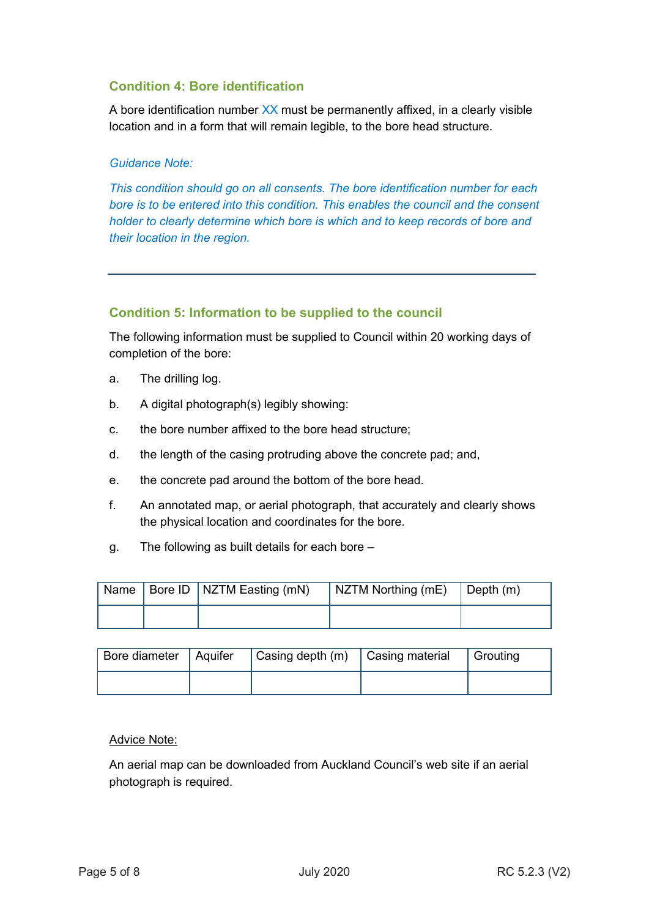## **Condition 4: Bore identification**

A bore identification number XX must be permanently affixed, in a clearly visible location and in a form that will remain legible, to the bore head structure.

#### *Guidance Note:*

*This condition should go on all consents. The bore identification number for each bore is to be entered into this condition. This enables the council and the consent holder to clearly determine which bore is which and to keep records of bore and their location in the region.* 

#### **Condition 5: Information to be supplied to the council**

The following information must be supplied to Council within 20 working days of completion of the bore:

- a. The drilling log.
- b. A digital photograph(s) legibly showing:
- c. the bore number affixed to the bore head structure;
- d. the length of the casing protruding above the concrete pad; and,
- e. the concrete pad around the bottom of the bore head.
- f. An annotated map, or aerial photograph, that accurately and clearly shows the physical location and coordinates for the bore.
- g. The following as built details for each bore –

|  | Name   Bore ID   NZTM Easting (mN) | $\vert$ NZTM Northing (mE) $\vert$ Depth (m) |  |
|--|------------------------------------|----------------------------------------------|--|
|  |                                    |                                              |  |

| Bore diameter   Aquifer | $ $ Casing depth $(m)$ $ $ Casing material | Grouting |
|-------------------------|--------------------------------------------|----------|
|                         |                                            |          |

#### Advice Note:

An aerial map can be downloaded from Auckland Council's web site if an aerial photograph is required.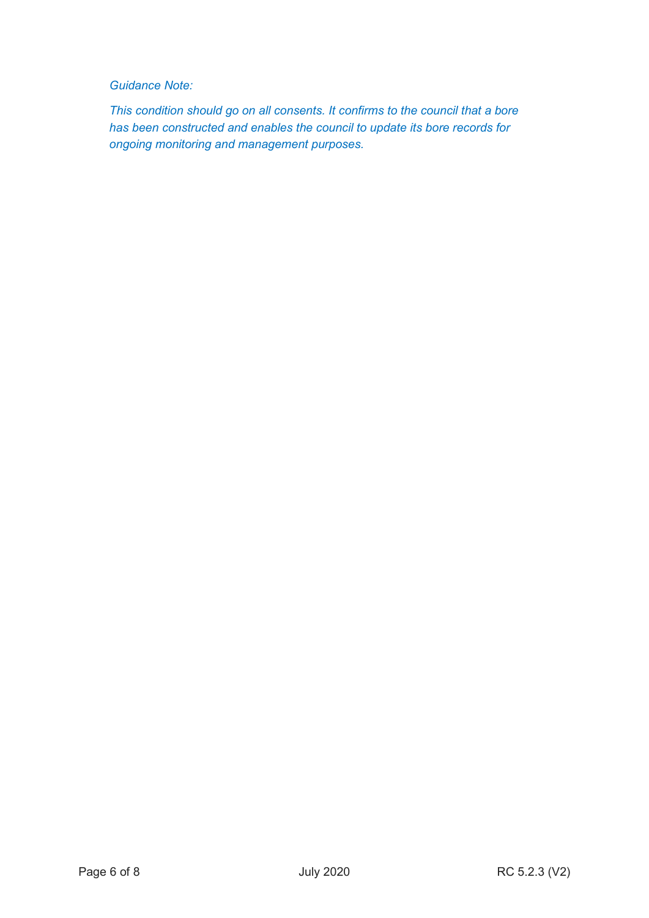### *Guidance Note:*

*This condition should go on all consents. It confirms to the council that a bore has been constructed and enables the council to update its bore records for ongoing monitoring and management purposes.*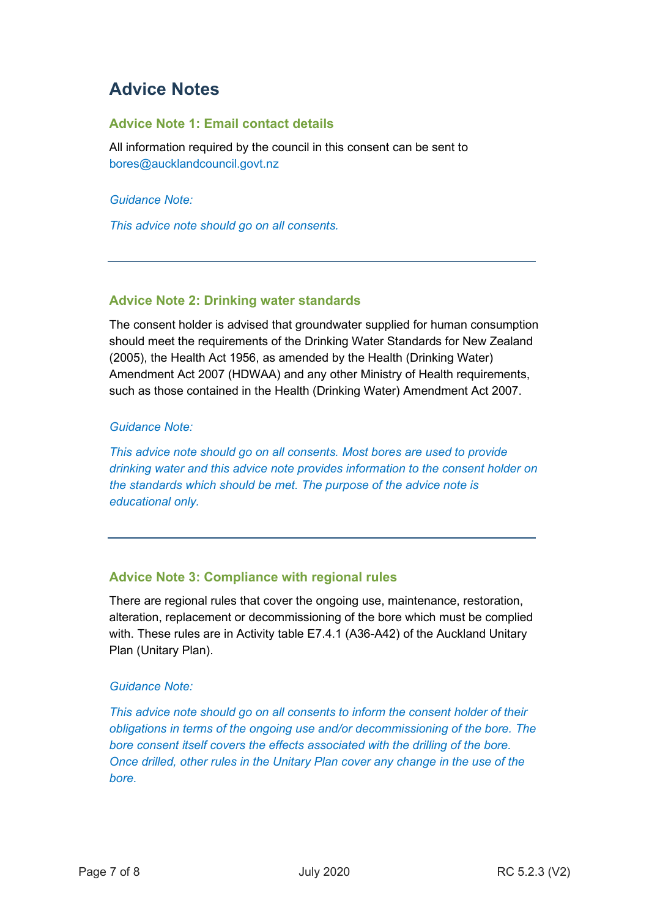## **Advice Notes**

### **Advice Note 1: Email contact details**

All information required by the council in this consent can be sent to bores@aucklandcouncil.govt.nz

*Guidance Note:*

*This advice note should go on all consents.*

#### **Advice Note 2: Drinking water standards**

The consent holder is advised that groundwater supplied for human consumption should meet the requirements of the Drinking Water Standards for New Zealand (2005), the Health Act 1956, as amended by the Health (Drinking Water) Amendment Act 2007 (HDWAA) and any other Ministry of Health requirements, such as those contained in the Health (Drinking Water) Amendment Act 2007.

#### *Guidance Note:*

*This advice note should go on all consents. Most bores are used to provide drinking water and this advice note provides information to the consent holder on the standards which should be met. The purpose of the advice note is educational only.* 

## **Advice Note 3: Compliance with regional rules**

There are regional rules that cover the ongoing use, maintenance, restoration, alteration, replacement or decommissioning of the bore which must be complied with. These rules are in Activity table E7.4.1 (A36-A42) of the Auckland Unitary Plan (Unitary Plan).

#### *Guidance Note:*

*This advice note should go on all consents to inform the consent holder of their obligations in terms of the ongoing use and/or decommissioning of the bore. The bore consent itself covers the effects associated with the drilling of the bore. Once drilled, other rules in the Unitary Plan cover any change in the use of the bore.*